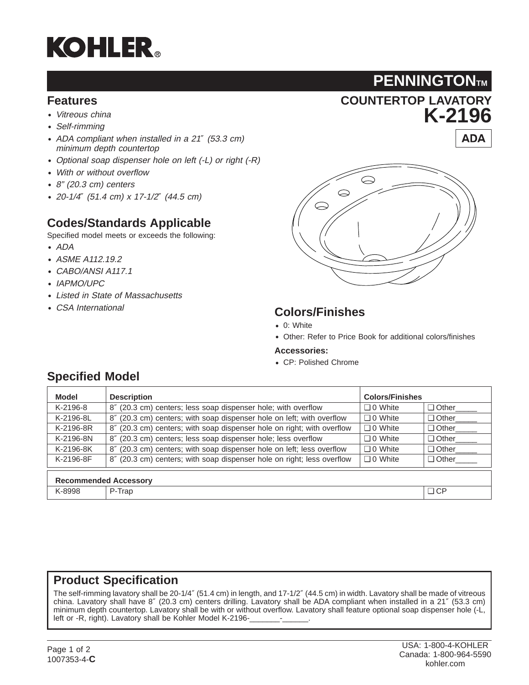# **KOHLER**®

#### **Features**

- Vitreous china
- Self-rimming
- ADA compliant when installed in <sup>a</sup> <sup>21</sup>″ (53.3 cm) minimum depth countertop
- Optional soap dispenser hole on left (-L) or right (-R)
- With or without overflow
- 8" (20.3 cm) centers
- 20-1/4″ (51.4 cm) <sup>x</sup> 17-1/2″ (44.5 cm)

#### **Codes/Standards Applicable**

Specified model meets or exceeds the following:

- ADA
- ASME A112.19.2
- CABO/ANSI A117.1
- IAPMO/UPC
- Listed in State of Massachusetts
- CSA International



**COUNTERTOP LAVATORY**

**PENNINGTONTM** 

**K-2196**

**ADA** 

#### **Colors/Finishes**

- 0: White
- Other: Refer to Price Book for additional colors/finishes

#### **Accessories:**

• CP: Polished Chrome

| <b>Model</b>                 | <b>Description</b>                                                     | <b>Colors/Finishes</b> |                     |  |  |  |  |
|------------------------------|------------------------------------------------------------------------|------------------------|---------------------|--|--|--|--|
| K-2196-8                     | 8" (20.3 cm) centers; less soap dispenser hole; with overflow          | $\Box$ 0 White         | Other____           |  |  |  |  |
| K-2196-8L                    | 8" (20.3 cm) centers; with soap dispenser hole on left; with overflow  | $\Box$ 0 White         | Other <sub>11</sub> |  |  |  |  |
| K-2196-8R                    | 8" (20.3 cm) centers; with soap dispenser hole on right; with overflow | $\Box$ 0 White         | $\Box$ Other        |  |  |  |  |
| K-2196-8N                    | 8" (20.3 cm) centers; less soap dispenser hole; less overflow          | $\Box$ 0 White         | $\Box$ Other        |  |  |  |  |
| K-2196-8K                    | 8" (20.3 cm) centers; with soap dispenser hole on left; less overflow  | $\Box$ 0 White         | $\Box$ Other        |  |  |  |  |
| K-2196-8F                    | 8" (20.3 cm) centers; with soap dispenser hole on right; less overflow | $\Box$ 0 White         | $\Box$ Other        |  |  |  |  |
| <b>Recommended Accessory</b> |                                                                        |                        |                     |  |  |  |  |
| K-8998                       | P-Trap                                                                 |                        | $\Box$ CP           |  |  |  |  |

### **Specified Model**

#### **Product Specification**

The self-rimming lavatory shall be 20-1/4″ (51.4 cm) in length, and 17-1/2″ (44.5 cm) in width. Lavatory shall be made of vitreous china. Lavatory shall have 8″ (20.3 cm) centers drilling. Lavatory shall be ADA compliant when installed in a 21″ (53.3 cm) minimum depth countertop. Lavatory shall be with or without overflow. Lavatory shall feature optional soap dispenser hole (-L, left or -R, right). Lavatory shall be Kohler Model K-2196-